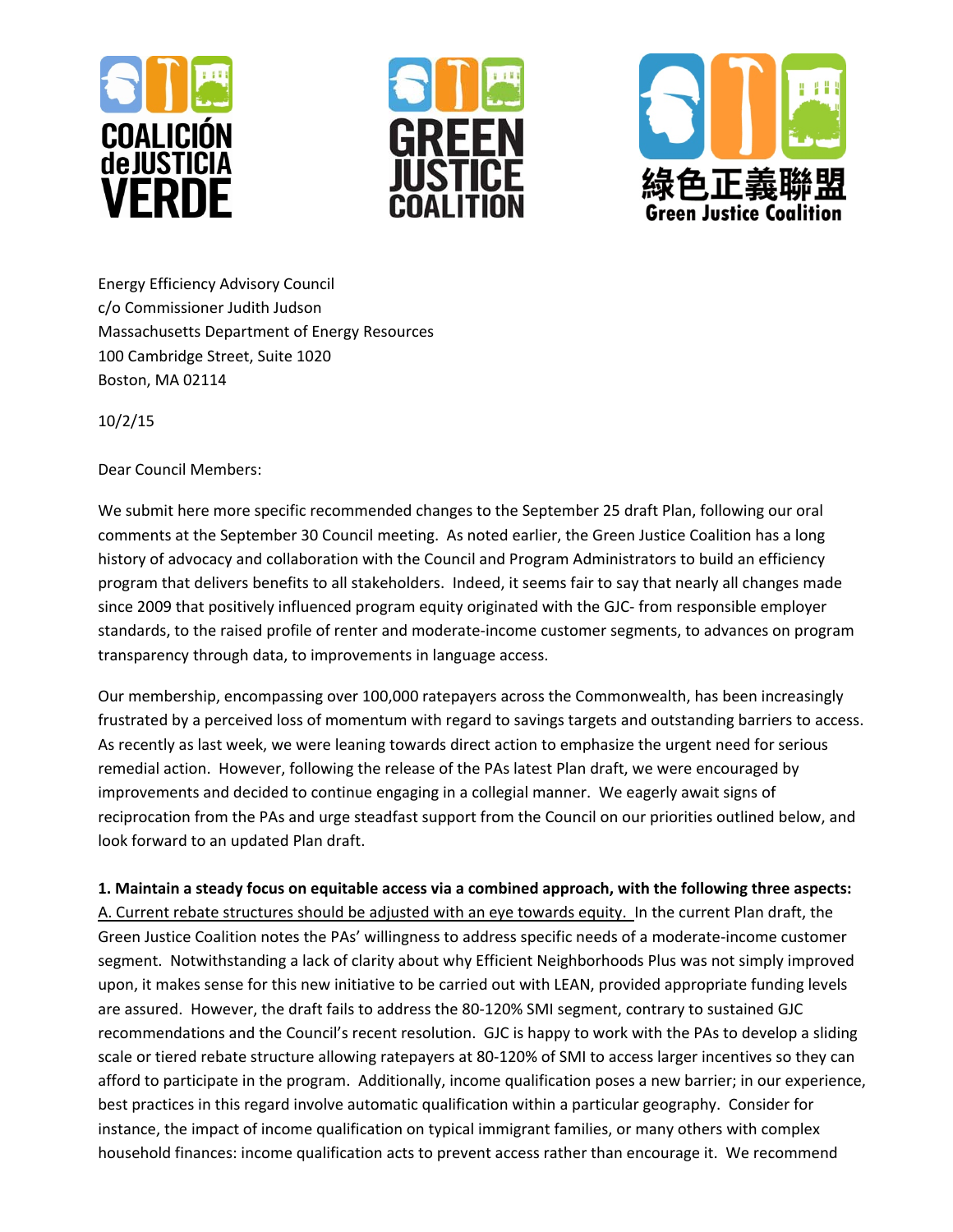





Energy Efficiency Advisory Council c/o Commissioner Judith Judson Massachusetts Department of Energy Resources 100 Cambridge Street, Suite 1020 Boston, MA 02114

10/2/15

Dear Council Members:

We submit here more specific recommended changes to the September 25 draft Plan, following our oral comments at the September 30 Council meeting. As noted earlier, the Green Justice Coalition has a long history of advocacy and collaboration with the Council and Program Administrators to build an efficiency program that delivers benefits to all stakeholders. Indeed, it seems fair to say that nearly all changes made since 2009 that positively influenced program equity originated with the GJC- from responsible employer standards, to the raised profile of renter and moderate‐income customer segments, to advances on program transparency through data, to improvements in language access.

Our membership, encompassing over 100,000 ratepayers across the Commonwealth, has been increasingly frustrated by a perceived loss of momentum with regard to savings targets and outstanding barriers to access. As recently as last week, we were leaning towards direct action to emphasize the urgent need for serious remedial action. However, following the release of the PAs latest Plan draft, we were encouraged by improvements and decided to continue engaging in a collegial manner. We eagerly await signs of reciprocation from the PAs and urge steadfast support from the Council on our priorities outlined below, and look forward to an updated Plan draft.

**1. Maintain a steady focus on equitable access via a combined approach, with the following three aspects:**

A. Current rebate structures should be adjusted with an eye towards equity. In the current Plan draft, the Green Justice Coalition notes the PAs' willingness to address specific needs of a moderate‐income customer segment. Notwithstanding a lack of clarity about why Efficient Neighborhoods Plus was not simply improved upon, it makes sense for this new initiative to be carried out with LEAN, provided appropriate funding levels are assured. However, the draft fails to address the 80-120% SMI segment, contrary to sustained GJC recommendations and the Council's recent resolution. GJC is happy to work with the PAs to develop a sliding scale or tiered rebate structure allowing ratepayers at 80‐120% of SMI to access larger incentives so they can afford to participate in the program. Additionally, income qualification poses a new barrier; in our experience, best practices in this regard involve automatic qualification within a particular geography. Consider for instance, the impact of income qualification on typical immigrant families, or many others with complex household finances: income qualification acts to prevent access rather than encourage it. We recommend